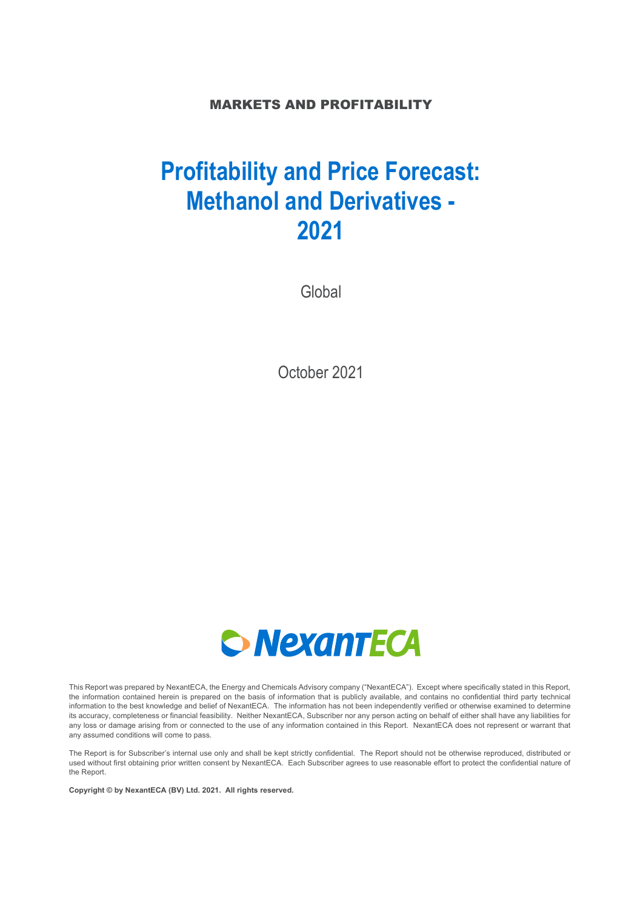### MARKETS AND PROFITABILITY

# **Profitability and Price Forecast: Methanol and Derivatives - 2021**

Global

October 2021



This Report was prepared by NexantECA, the Energy and Chemicals Advisory company ("NexantECA"). Except where specifically stated in this Report, the information contained herein is prepared on the basis of information that is publicly available, and contains no confidential third party technical information to the best knowledge and belief of NexantECA. The information has not been independently verified or otherwise examined to determine its accuracy, completeness or financial feasibility. Neither NexantECA, Subscriber nor any person acting on behalf of either shall have any liabilities for any loss or damage arising from or connected to the use of any information contained in this Report. NexantECA does not represent or warrant that any assumed conditions will come to pass.

The Report is for Subscriber's internal use only and shall be kept strictly confidential. The Report should not be otherwise reproduced, distributed or used without first obtaining prior written consent by NexantECA. Each Subscriber agrees to use reasonable effort to protect the confidential nature of the Report.

**Copyright © by NexantECA (BV) Ltd. 2021. All rights reserved.**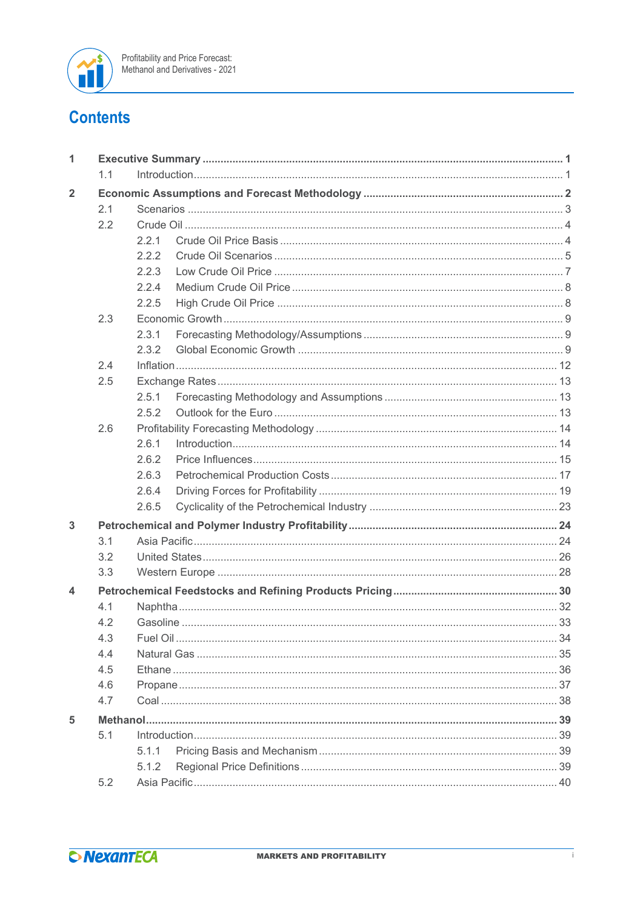

## **Contents**

| 1.1<br>$\overline{2}$<br>2.1<br>2.2<br>2.2.1<br>2.2.2<br>2.2.3<br>2.2.4<br>2.2.5<br>2.3<br>2.3.1<br>2.3.2<br>2.4<br>2.5<br>2.5.1<br>2.5.2<br>2.6<br>2.6.1<br>2.6.2<br>2.6.3<br>2.6.4<br>2.6.5<br>3<br>3.1<br>3.2<br>3.3<br>4<br>4.1<br>4.2<br>4.3<br>4.4<br>4.5<br>4.6<br>4.7<br>5<br>5.1<br>5.1.1<br>5.1.2<br>5.2 | 1 |  |  |  |  |
|--------------------------------------------------------------------------------------------------------------------------------------------------------------------------------------------------------------------------------------------------------------------------------------------------------------------|---|--|--|--|--|
|                                                                                                                                                                                                                                                                                                                    |   |  |  |  |  |
|                                                                                                                                                                                                                                                                                                                    |   |  |  |  |  |
|                                                                                                                                                                                                                                                                                                                    |   |  |  |  |  |
|                                                                                                                                                                                                                                                                                                                    |   |  |  |  |  |
|                                                                                                                                                                                                                                                                                                                    |   |  |  |  |  |
|                                                                                                                                                                                                                                                                                                                    |   |  |  |  |  |
|                                                                                                                                                                                                                                                                                                                    |   |  |  |  |  |
|                                                                                                                                                                                                                                                                                                                    |   |  |  |  |  |
|                                                                                                                                                                                                                                                                                                                    |   |  |  |  |  |
|                                                                                                                                                                                                                                                                                                                    |   |  |  |  |  |
|                                                                                                                                                                                                                                                                                                                    |   |  |  |  |  |
|                                                                                                                                                                                                                                                                                                                    |   |  |  |  |  |
|                                                                                                                                                                                                                                                                                                                    |   |  |  |  |  |
|                                                                                                                                                                                                                                                                                                                    |   |  |  |  |  |
|                                                                                                                                                                                                                                                                                                                    |   |  |  |  |  |
|                                                                                                                                                                                                                                                                                                                    |   |  |  |  |  |
|                                                                                                                                                                                                                                                                                                                    |   |  |  |  |  |
|                                                                                                                                                                                                                                                                                                                    |   |  |  |  |  |
|                                                                                                                                                                                                                                                                                                                    |   |  |  |  |  |
|                                                                                                                                                                                                                                                                                                                    |   |  |  |  |  |
|                                                                                                                                                                                                                                                                                                                    |   |  |  |  |  |
|                                                                                                                                                                                                                                                                                                                    |   |  |  |  |  |
|                                                                                                                                                                                                                                                                                                                    |   |  |  |  |  |
|                                                                                                                                                                                                                                                                                                                    |   |  |  |  |  |
|                                                                                                                                                                                                                                                                                                                    |   |  |  |  |  |
|                                                                                                                                                                                                                                                                                                                    |   |  |  |  |  |
|                                                                                                                                                                                                                                                                                                                    |   |  |  |  |  |
|                                                                                                                                                                                                                                                                                                                    |   |  |  |  |  |
|                                                                                                                                                                                                                                                                                                                    |   |  |  |  |  |
|                                                                                                                                                                                                                                                                                                                    |   |  |  |  |  |
|                                                                                                                                                                                                                                                                                                                    |   |  |  |  |  |
|                                                                                                                                                                                                                                                                                                                    |   |  |  |  |  |
|                                                                                                                                                                                                                                                                                                                    |   |  |  |  |  |
|                                                                                                                                                                                                                                                                                                                    |   |  |  |  |  |
|                                                                                                                                                                                                                                                                                                                    |   |  |  |  |  |
|                                                                                                                                                                                                                                                                                                                    |   |  |  |  |  |
|                                                                                                                                                                                                                                                                                                                    |   |  |  |  |  |
|                                                                                                                                                                                                                                                                                                                    |   |  |  |  |  |
|                                                                                                                                                                                                                                                                                                                    |   |  |  |  |  |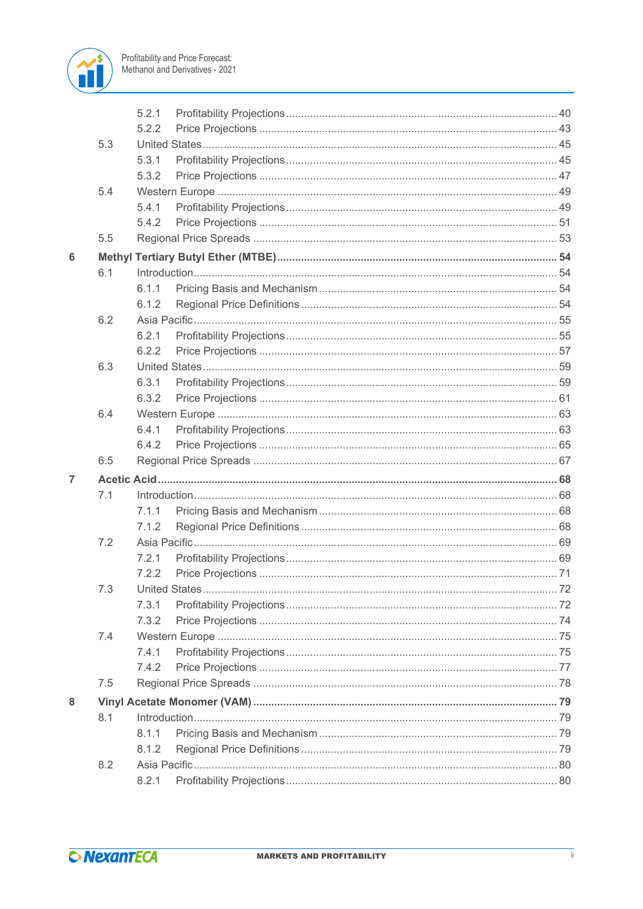

|                |     | 5.2.1 |  |  |
|----------------|-----|-------|--|--|
|                |     | 5.2.2 |  |  |
|                | 5.3 |       |  |  |
|                |     | 5.3.1 |  |  |
|                |     | 5.3.2 |  |  |
|                | 5.4 |       |  |  |
|                |     | 5.4.1 |  |  |
|                |     | 5.4.2 |  |  |
|                | 5.5 |       |  |  |
| 6              |     |       |  |  |
|                | 6.1 |       |  |  |
|                |     | 6.1.1 |  |  |
|                |     | 6.1.2 |  |  |
|                | 6.2 |       |  |  |
|                |     | 6.2.1 |  |  |
|                |     | 6.2.2 |  |  |
|                | 6.3 |       |  |  |
|                |     | 6.3.1 |  |  |
|                |     | 6.3.2 |  |  |
|                | 6.4 |       |  |  |
|                |     | 6.4.1 |  |  |
|                |     | 6.4.2 |  |  |
|                | 6.5 |       |  |  |
| $\overline{7}$ |     |       |  |  |
|                | 7.1 |       |  |  |
|                |     | 7.1.1 |  |  |
|                |     | 7.1.2 |  |  |
|                | 7.2 |       |  |  |
|                |     | 7.2.1 |  |  |
|                |     | 7.2.2 |  |  |
|                | 7.3 |       |  |  |
|                |     | 7.3.1 |  |  |
|                |     | 7.3.2 |  |  |
|                | 7.4 |       |  |  |
|                |     | 7.4.1 |  |  |
|                |     | 7.4.2 |  |  |
|                | 7.5 |       |  |  |
| 8              |     |       |  |  |
|                | 8.1 |       |  |  |
|                |     | 8.1.1 |  |  |
|                |     | 8.1.2 |  |  |
|                | 8.2 |       |  |  |
|                |     | 8.2.1 |  |  |
|                |     |       |  |  |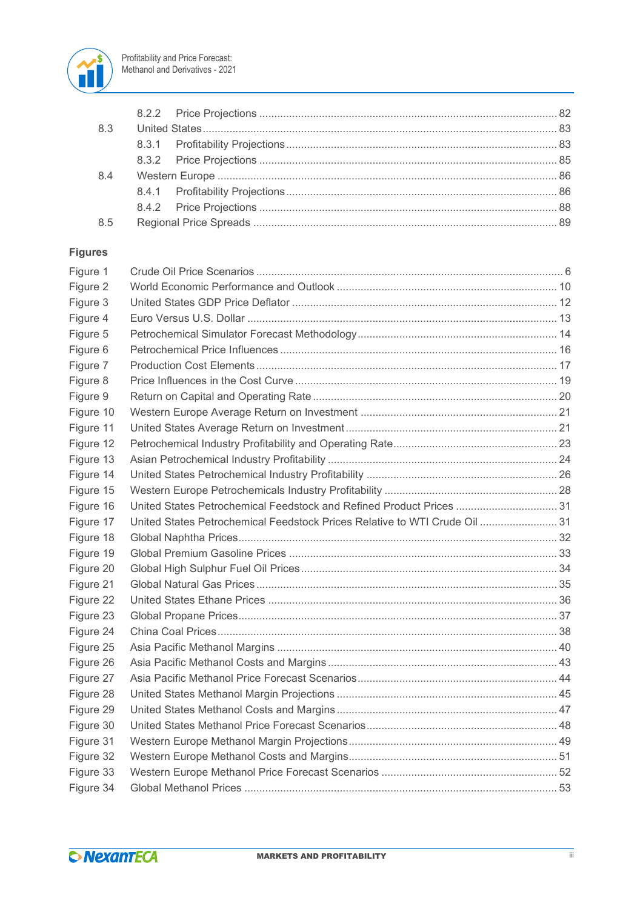

| 8.3 |  |  |
|-----|--|--|
|     |  |  |
|     |  |  |
| 8.4 |  |  |
|     |  |  |
|     |  |  |
| 8.5 |  |  |
|     |  |  |

### **Figures**

| Figure 1  |                                                                            |  |
|-----------|----------------------------------------------------------------------------|--|
| Figure 2  |                                                                            |  |
| Figure 3  |                                                                            |  |
| Figure 4  |                                                                            |  |
| Figure 5  |                                                                            |  |
| Figure 6  |                                                                            |  |
| Figure 7  |                                                                            |  |
| Figure 8  |                                                                            |  |
| Figure 9  |                                                                            |  |
| Figure 10 |                                                                            |  |
| Figure 11 |                                                                            |  |
| Figure 12 |                                                                            |  |
| Figure 13 |                                                                            |  |
| Figure 14 |                                                                            |  |
| Figure 15 |                                                                            |  |
| Figure 16 | United States Petrochemical Feedstock and Refined Product Prices  31       |  |
| Figure 17 | United States Petrochemical Feedstock Prices Relative to WTI Crude Oil  31 |  |
| Figure 18 |                                                                            |  |
| Figure 19 |                                                                            |  |
| Figure 20 |                                                                            |  |
| Figure 21 |                                                                            |  |
| Figure 22 |                                                                            |  |
| Figure 23 |                                                                            |  |
| Figure 24 |                                                                            |  |
| Figure 25 |                                                                            |  |
| Figure 26 |                                                                            |  |
| Figure 27 |                                                                            |  |
| Figure 28 |                                                                            |  |
| Figure 29 |                                                                            |  |
| Figure 30 |                                                                            |  |
| Figure 31 |                                                                            |  |
| Figure 32 |                                                                            |  |
| Figure 33 |                                                                            |  |
| Figure 34 |                                                                            |  |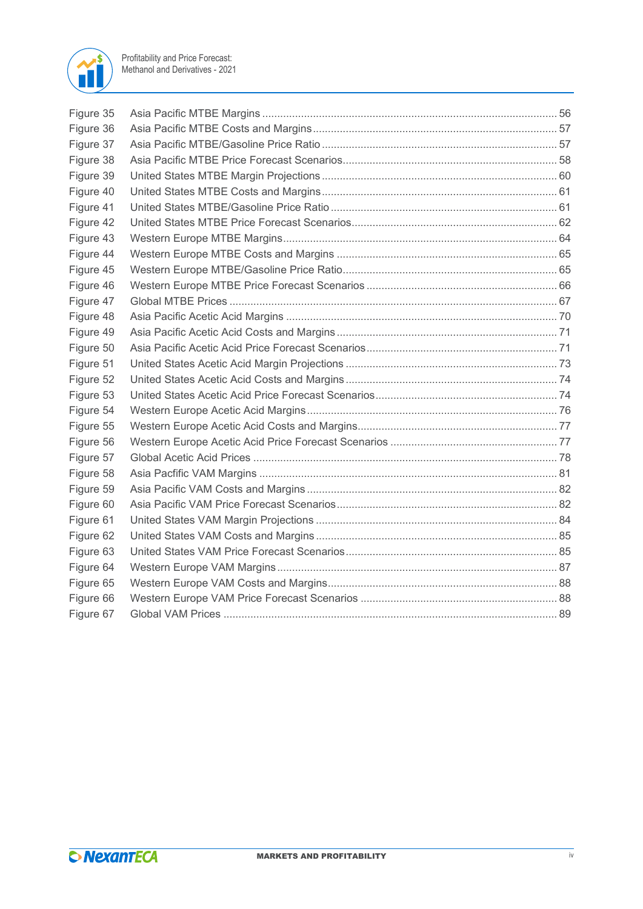

| Figure 35 |  |
|-----------|--|
| Figure 36 |  |
| Figure 37 |  |
| Figure 38 |  |
| Figure 39 |  |
| Figure 40 |  |
| Figure 41 |  |
| Figure 42 |  |
| Figure 43 |  |
| Figure 44 |  |
| Figure 45 |  |
| Figure 46 |  |
| Figure 47 |  |
| Figure 48 |  |
| Figure 49 |  |
| Figure 50 |  |
| Figure 51 |  |
| Figure 52 |  |
| Figure 53 |  |
| Figure 54 |  |
| Figure 55 |  |
| Figure 56 |  |
| Figure 57 |  |
| Figure 58 |  |
| Figure 59 |  |
| Figure 60 |  |
| Figure 61 |  |
| Figure 62 |  |
| Figure 63 |  |
| Figure 64 |  |
| Figure 65 |  |
| Figure 66 |  |
| Figure 67 |  |